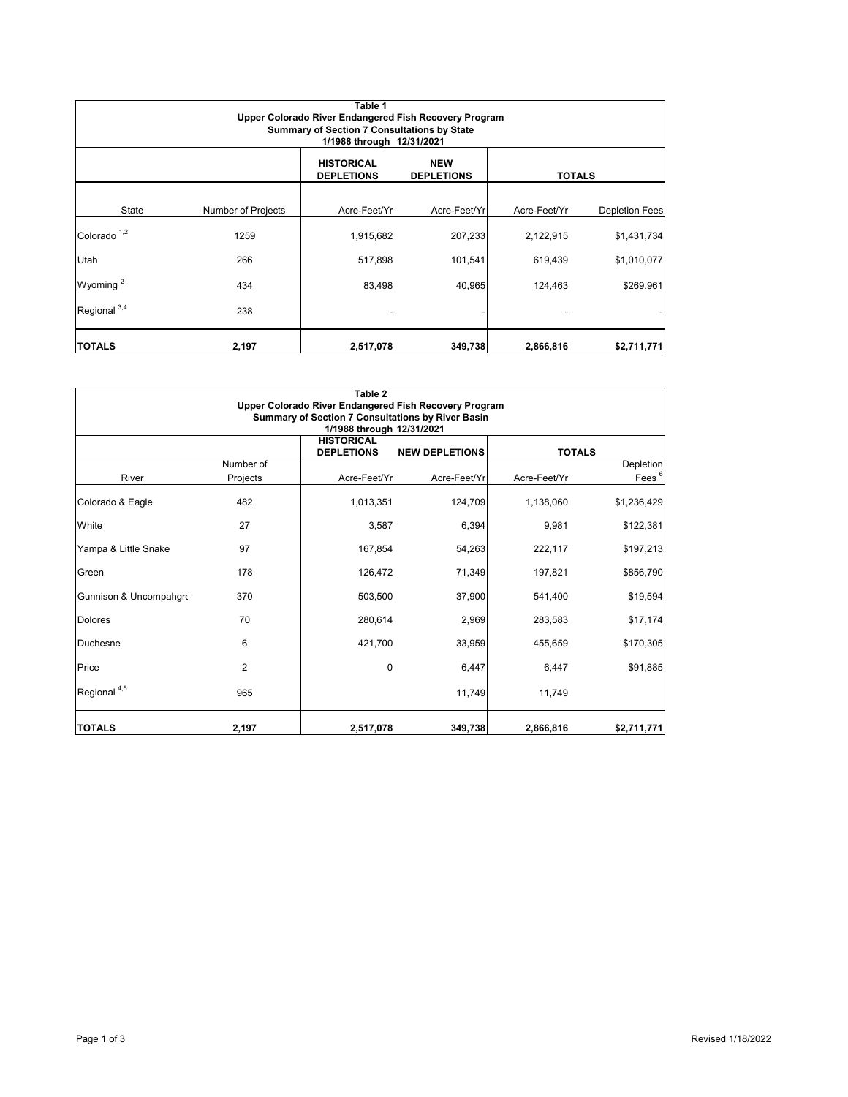| Table 1<br>Upper Colorado River Endangered Fish Recovery Program<br><b>Summary of Section 7 Consultations by State</b><br>1/1988 through 12/31/2021 |                    |                                        |                                 |               |                       |  |  |  |
|-----------------------------------------------------------------------------------------------------------------------------------------------------|--------------------|----------------------------------------|---------------------------------|---------------|-----------------------|--|--|--|
|                                                                                                                                                     |                    | <b>HISTORICAL</b><br><b>DEPLETIONS</b> | <b>NEW</b><br><b>DEPLETIONS</b> | <b>TOTALS</b> |                       |  |  |  |
| State                                                                                                                                               | Number of Projects | Acre-Feet/Yr                           | Acre-Feet/Yrl                   | Acre-Feet/Yr  | <b>Depletion Fees</b> |  |  |  |
| Colorado <sup>1,2</sup>                                                                                                                             | 1259               | 1,915,682                              | 207,233                         | 2,122,915     | \$1,431,734           |  |  |  |
| Utah                                                                                                                                                | 266                | 517,898                                | 101,541                         | 619,439       | \$1,010,077           |  |  |  |
| Wyoming <sup>2</sup>                                                                                                                                | 434                | 83,498                                 | 40,965                          | 124,463       | \$269,961             |  |  |  |
| Regional <sup>3,4</sup>                                                                                                                             | 238                |                                        |                                 |               |                       |  |  |  |
| <b>TOTALS</b>                                                                                                                                       | 2,197              | 2,517,078                              | 349,738                         | 2,866,816     | \$2,711,771           |  |  |  |

| Table 2<br>Upper Colorado River Endangered Fish Recovery Program               |                |                                        |                       |               |                   |  |  |  |  |
|--------------------------------------------------------------------------------|----------------|----------------------------------------|-----------------------|---------------|-------------------|--|--|--|--|
| Summary of Section 7 Consultations by River Basin<br>1/1988 through 12/31/2021 |                |                                        |                       |               |                   |  |  |  |  |
|                                                                                |                | <b>HISTORICAL</b><br><b>DEPLETIONS</b> | <b>NEW DEPLETIONS</b> | <b>TOTALS</b> |                   |  |  |  |  |
|                                                                                | Number of      |                                        |                       |               | Depletion         |  |  |  |  |
| River                                                                          | Projects       | Acre-Feet/Yr                           | Acre-Feet/Yr          | Acre-Feet/Yr  | Fees <sup>6</sup> |  |  |  |  |
| Colorado & Eagle                                                               | 482            | 1,013,351                              | 124,709               | 1,138,060     | \$1,236,429       |  |  |  |  |
| White                                                                          | 27             | 3,587                                  | 6,394                 | 9,981         | \$122,381         |  |  |  |  |
| Yampa & Little Snake                                                           | 97             | 167,854                                | 54,263                | 222,117       | \$197,213         |  |  |  |  |
| Green                                                                          | 178            | 126,472                                | 71,349                | 197,821       | \$856,790         |  |  |  |  |
| Gunnison & Uncompahgre                                                         | 370            | 503,500                                | 37,900                | 541,400       | \$19,594          |  |  |  |  |
| <b>Dolores</b>                                                                 | 70             | 280,614                                | 2,969                 | 283,583       | \$17,174          |  |  |  |  |
| Duchesne                                                                       | 6              | 421,700                                | 33,959                | 455,659       | \$170,305         |  |  |  |  |
| Price                                                                          | $\overline{2}$ | $\Omega$                               | 6,447                 | 6,447         | \$91,885          |  |  |  |  |
| Regional <sup>4,5</sup>                                                        | 965            |                                        | 11,749                | 11.749        |                   |  |  |  |  |
| <b>TOTALS</b>                                                                  | 2,197          | 2,517,078                              | 349,738               | 2,866,816     | \$2,711,771       |  |  |  |  |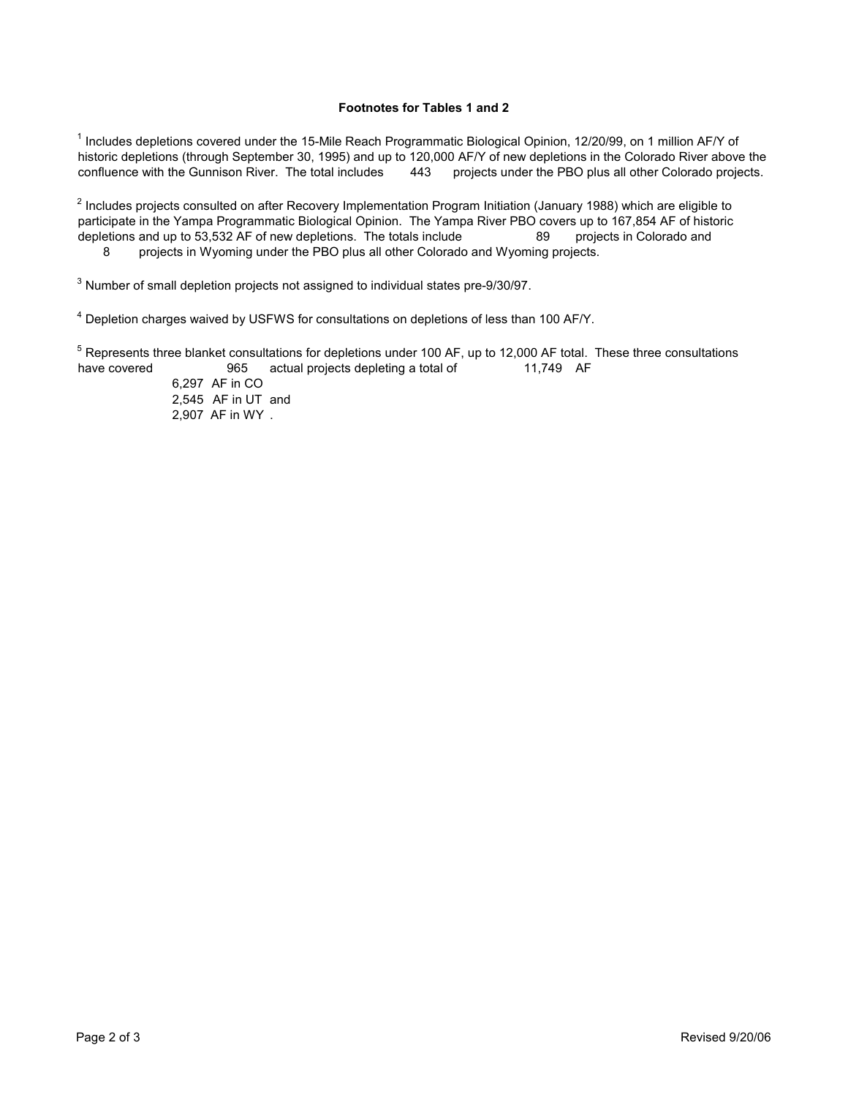## **Footnotes for Tables 1 and 2**

historic depletions (through September 30, 1995) and up to 120,000 AF/Y of new depletions in the Colorado River above the confluence with the Gunnison River. The total includes 443 projects under the PBO plus all other Col 443  $^{\text{1}}$  Includes depletions covered under the 15-Mile Reach Programmatic Biological Opinion, 12/20/99, on 1 million AF/Y of projects under the PBO plus all other Colorado projects.

depletions and up to 53,532 AF of new depletions. The totals include 89 8  $^{\rm 2}$  Includes projects consulted on after Recovery Implementation Program Initiation (January 1988) which are eligible to participate in the Yampa Programmatic Biological Opinion. The Yampa River PBO covers up to 167,854 AF of historic projects in Colorado and projects in Wyoming under the PBO plus all other Colorado and Wyoming projects.

 $^3$  Number of small depletion projects not assigned to individual states pre-9/30/97.

 $^4$  Depletion charges waived by USFWS for consultations on depletions of less than 100 AF/Y.

have covered 965 actual projects depleting a total of 11,749 AF  $^5$  Represents three blanket consultations for depletions under 100 AF, up to 12,000 AF total. These three consultations

6,297 AF in CO 2,545 AF in UT and 2,907 AF in WY .